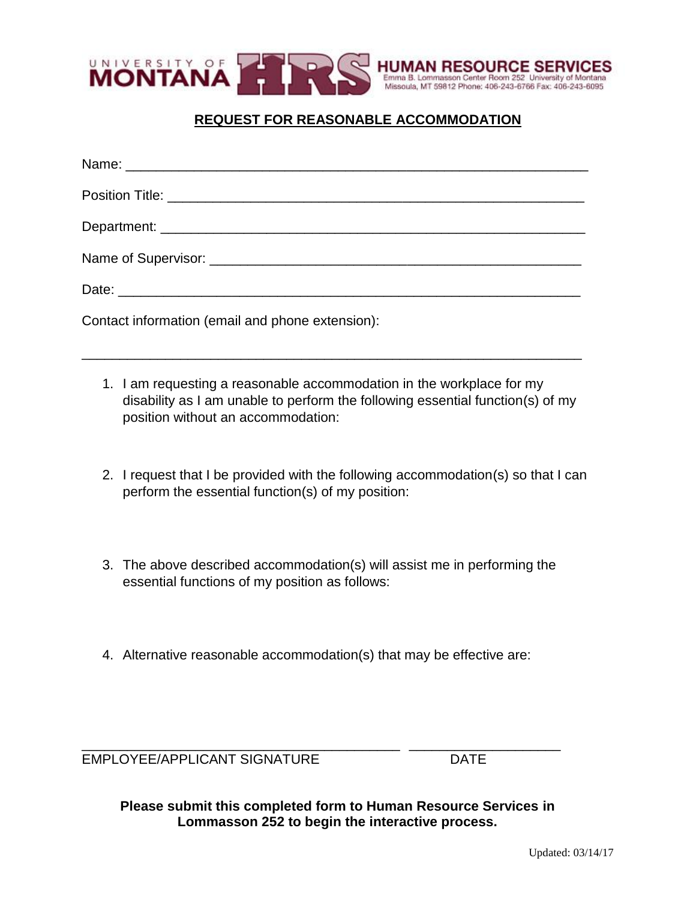

# **REQUEST FOR REASONABLE ACCOMMODATION**

| Contact information (email and phone extension): |
|--------------------------------------------------|

1. I am requesting a reasonable accommodation in the workplace for my disability as I am unable to perform the following essential function(s) of my position without an accommodation:

\_\_\_\_\_\_\_\_\_\_\_\_\_\_\_\_\_\_\_\_\_\_\_\_\_\_\_\_\_\_\_\_\_\_\_\_\_\_\_\_\_\_\_\_\_\_\_\_\_\_\_\_\_\_\_\_\_\_\_\_\_\_\_\_\_\_

- 2. I request that I be provided with the following accommodation(s) so that I can perform the essential function(s) of my position:
- 3. The above described accommodation(s) will assist me in performing the essential functions of my position as follows:
- 4. Alternative reasonable accommodation(s) that may be effective are:

EMPLOYEE/APPLICANT SIGNATURE DATE

\_\_\_\_\_\_\_\_\_\_\_\_\_\_\_\_\_\_\_\_\_\_\_\_\_\_\_\_\_\_\_\_\_\_\_\_\_\_\_\_\_\_ \_\_\_\_\_\_\_\_\_\_\_\_\_\_\_\_\_\_\_\_

**Please submit this completed form to Human Resource Services in Lommasson 252 to begin the interactive process.**